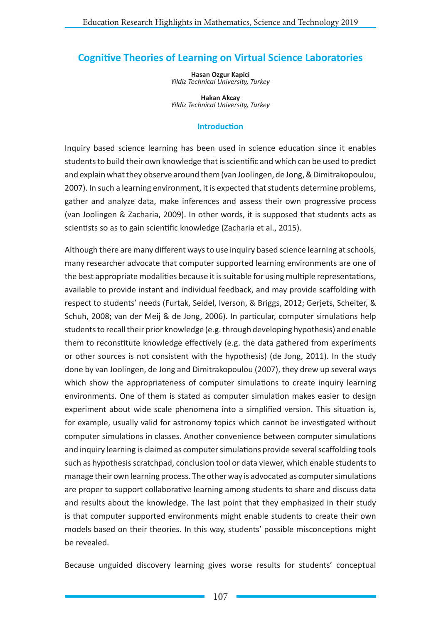# **Cognitive Theories of Learning on Virtual Science Laboratories**

**Hasan Ozgur Kapici** *Yildiz Technical University, Turkey*

**Hakan Akcay** *Yildiz Technical University, Turkey*

#### **Introduction**

Inquiry based science learning has been used in science education since it enables students to build their own knowledge that is scientific and which can be used to predict and explain what they observe around them (van Joolingen, de Jong, & Dimitrakopoulou, 2007). In such a learning environment, it is expected that students determine problems, gather and analyze data, make inferences and assess their own progressive process (van Joolingen & Zacharia, 2009). In other words, it is supposed that students acts as scientists so as to gain scientific knowledge (Zacharia et al., 2015).

Although there are many different ways to use inquiry based science learning at schools, many researcher advocate that computer supported learning environments are one of the best appropriate modalities because it is suitable for using multiple representations, available to provide instant and individual feedback, and may provide scaffolding with respect to students' needs (Furtak, Seidel, Iverson, & Briggs, 2012; Gerjets, Scheiter, & Schuh, 2008; van der Meij & de Jong, 2006). In particular, computer simulations help students to recall their prior knowledge (e.g. through developing hypothesis) and enable them to reconstitute knowledge effectively (e.g. the data gathered from experiments or other sources is not consistent with the hypothesis) (de Jong, 2011). In the study done by van Joolingen, de Jong and Dimitrakopoulou (2007), they drew up several ways which show the appropriateness of computer simulations to create inquiry learning environments. One of them is stated as computer simulation makes easier to design experiment about wide scale phenomena into a simplified version. This situation is, for example, usually valid for astronomy topics which cannot be investigated without computer simulations in classes. Another convenience between computer simulations and inquiry learning is claimed as computer simulations provide several scaffolding tools such as hypothesis scratchpad, conclusion tool or data viewer, which enable students to manage their own learning process. The other way is advocated as computer simulations are proper to support collaborative learning among students to share and discuss data and results about the knowledge. The last point that they emphasized in their study is that computer supported environments might enable students to create their own models based on their theories. In this way, students' possible misconceptions might be revealed.

Because unguided discovery learning gives worse results for students' conceptual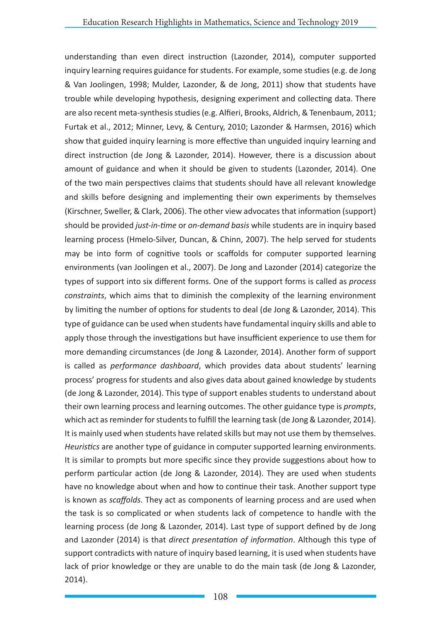understanding than even direct instruction (Lazonder, 2014), computer supported inquiry learning requires guidance for students. For example, some studies (e.g. de Jong & Van Joolingen, 1998; Mulder, Lazonder, & de Jong, 2011) show that students have trouble while developing hypothesis, designing experiment and collecting data. There are also recent meta-synthesis studies (e.g. Alfieri, Brooks, Aldrich, & Tenenbaum, 2011; Furtak et al., 2012; Minner, Levy, & Century, 2010; Lazonder & Harmsen, 2016) which show that guided inquiry learning is more effective than unguided inquiry learning and direct instruction (de Jong & Lazonder, 2014). However, there is a discussion about amount of guidance and when it should be given to students (Lazonder, 2014). One of the two main perspectives claims that students should have all relevant knowledge and skills before designing and implementing their own experiments by themselves (Kirschner, Sweller, & Clark, 2006). The other view advocates that information (support) should be provided *just-in-time* or *on-demand basis* while students are in inquiry based learning process (Hmelo-Silver, Duncan, & Chinn, 2007). The help served for students may be into form of cognitive tools or scaffolds for computer supported learning environments (van Joolingen et al., 2007). De Jong and Lazonder (2014) categorize the types of support into six different forms. One of the support forms is called as *process constraints*, which aims that to diminish the complexity of the learning environment by limiting the number of options for students to deal (de Jong & Lazonder, 2014). This type of guidance can be used when students have fundamental inquiry skills and able to apply those through the investigations but have insufficient experience to use them for more demanding circumstances (de Jong & Lazonder, 2014). Another form of support is called as *performance dashboard*, which provides data about students' learning process' progress for students and also gives data about gained knowledge by students (de Jong & Lazonder, 2014). This type of support enables students to understand about their own learning process and learning outcomes. The other guidance type is *prompts*, which act as reminder for students to fulfill the learning task (de Jong & Lazonder, 2014). It is mainly used when students have related skills but may not use them by themselves. *Heuristics* are another type of guidance in computer supported learning environments. It is similar to prompts but more specific since they provide suggestions about how to perform particular action (de Jong & Lazonder, 2014). They are used when students have no knowledge about when and how to continue their task. Another support type is known as *scaffolds*. They act as components of learning process and are used when the task is so complicated or when students lack of competence to handle with the learning process (de Jong & Lazonder, 2014). Last type of support defined by de Jong and Lazonder (2014) is that *direct presentation of information*. Although this type of support contradicts with nature of inquiry based learning, it is used when students have lack of prior knowledge or they are unable to do the main task (de Jong & Lazonder, 2014).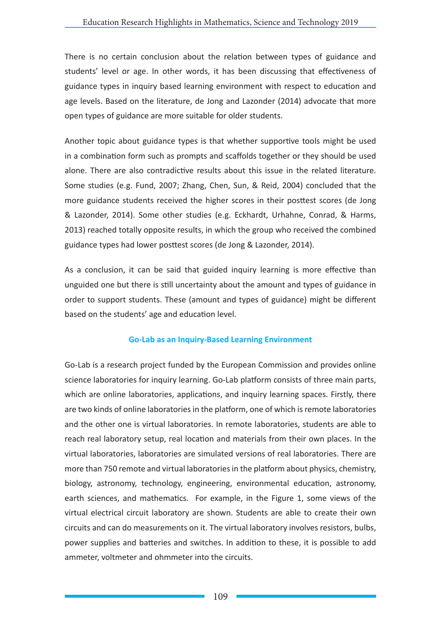There is no certain conclusion about the relation between types of guidance and students' level or age. In other words, it has been discussing that effectiveness of guidance types in inquiry based learning environment with respect to education and age levels. Based on the literature, de Jong and Lazonder (2014) advocate that more open types of guidance are more suitable for older students.

Another topic about guidance types is that whether supportive tools might be used in a combination form such as prompts and scaffolds together or they should be used alone. There are also contradictive results about this issue in the related literature. Some studies (e.g. Fund, 2007; Zhang, Chen, Sun, & Reid, 2004) concluded that the more guidance students received the higher scores in their posttest scores (de Jong & Lazonder, 2014). Some other studies (e.g. Eckhardt, Urhahne, Conrad, & Harms, 2013) reached totally opposite results, in which the group who received the combined guidance types had lower posttest scores (de Jong & Lazonder, 2014).

As a conclusion, it can be said that guided inquiry learning is more effective than unguided one but there is still uncertainty about the amount and types of guidance in order to support students. These (amount and types of guidance) might be different based on the students' age and education level.

### **Go-Lab as an Inquiry-Based Learning Environment**

Go-Lab is a research project funded by the European Commission and provides online science laboratories for inquiry learning. Go-Lab platform consists of three main parts, which are online laboratories, applications, and inquiry learning spaces. Firstly, there are two kinds of online laboratories in the platform, one of which is remote laboratories and the other one is virtual laboratories. In remote laboratories, students are able to reach real laboratory setup, real location and materials from their own places. In the virtual laboratories, laboratories are simulated versions of real laboratories. There are more than 750 remote and virtual laboratories in the platform about physics, chemistry, biology, astronomy, technology, engineering, environmental education, astronomy, earth sciences, and mathematics. For example, in the Figure 1, some views of the virtual electrical circuit laboratory are shown. Students are able to create their own circuits and can do measurements on it. The virtual laboratory involves resistors, bulbs, power supplies and batteries and switches. In addition to these, it is possible to add ammeter, voltmeter and ohmmeter into the circuits.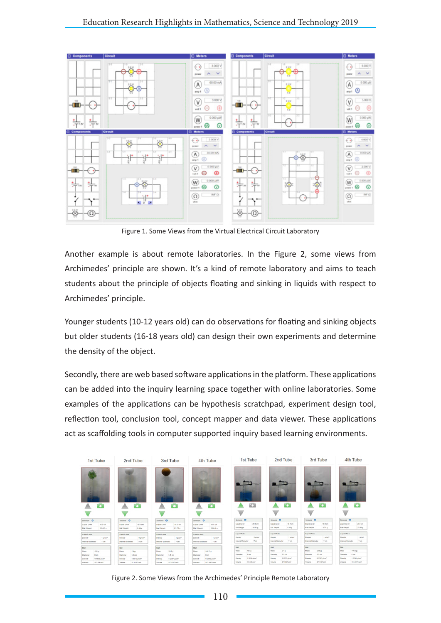

Figure 1. Some Views from the Virtual Electrical Circuit Laboratory

Another example is about remote laboratories. In the Figure 2, some views from Archimedes' principle are shown. It's a kind of remote laboratory and aims to teach students about the principle of objects floating and sinking in liquids with respect to Archimedes' principle.

Younger students (10-12 years old) can do observations for floating and sinking objects but older students (16-18 years old) can design their own experiments and determine the density of the object.

Secondly, there are web based software applications in the platform. These applications can be added into the inquiry learning space together with online laboratories. Some examples of the applications can be hypothesis scratchpad, experiment design tool, reflection tool, conclusion tool, concept mapper and data viewer. These applications act as scaffolding tools in computer supported inquiry based learning environments.

| 1st Tube                 | 2nd Tube             | 3rd Tube           | 4th Tube                | 1st Tube             | 2nd Tube                 | 3rd Tube                     | 4th Tube                 |
|--------------------------|----------------------|--------------------|-------------------------|----------------------|--------------------------|------------------------------|--------------------------|
|                          |                      |                    |                         |                      |                          |                              |                          |
| i.                       |                      |                    |                         |                      |                          |                              |                          |
| o                        | o                    | o                  | o                       | a                    | o                        | o                            | o                        |
|                          |                      |                    |                         |                      |                          |                              |                          |
| Service O                | teraus O             | <b>Sensors</b> Of  | teres O                 | Sanacra O            | Sanacra O                | Sanacas O                    | Samura O                 |
| 10.0 km                  | 10.1 cm              | 98.3-44V           | 55.1 cm                 | 20:3 cm              | 10 Ford                  | 15.5 cm                      | 28.9 cm                  |
| Liquid Leuri             | <b>Liquali Level</b> | Liquid Level       | <b>Liquid Lieuel</b>    | Liound Gawat         | Linet Level              | Lisant Level                 | Liquid Love!             |
| 128.05 m                 | 2.46 p               | $21.73 \text{ g}$  | 130.45 m                | $20 + 41 + 4$        | 0.50 g                   | 4.74 g                       | 27.09 p.                 |
| <b>Eat Unight</b>        | <b>But Harpht</b>    | <b>Ball Vieges</b> | <b>Ball Vinight</b>     | <b>Build Howards</b> | <b>Bat Hisight</b>       | that maps:                   | flat Vieght              |
| Liquid/Tube              | Liquid/Suba          | Liquid Tube        | <b>LiquidiTuba</b>      | Liquiditute          | Liquiditube              | Liquiditure                  | L'estative               |
| 1 grown <sup>2</sup>     | <b>Gersity</b>       | 1 pine?            | Density                 | 1 planet             | Danah                    | 1 plant                      | Densky                   |
| Density                  | 1 g/pm <sup>2</sup>  | Derrsh             | 1-post                  | Density              | 1 pinel                  | Density                      | T-plant                  |
| Ford                     | 2 cm                 | Page               | T cm                    | 7.06                 | 7.09                     | Tom.                         | T-M                      |
| Internal Evenish         | Internal Greenwier   | Internal Elementer | <b>Internal Element</b> | Internal Diameter    | <b>Inferred Dismeter</b> | <b>Infecture Distriction</b> | <b>Internat Dismeter</b> |
| <b>Ball</b>              | Bat                  | <b>Ball</b>        | <b>Balt</b>             | <b>Ball</b>          | Ball                     | <b>Dat</b>                   | <b>Dall</b>              |
| $126 - 8$                | 2.46                 | 29.84              | Mays                    | 105-p                | 2.44                     | $29.8 +$                     | <b>140.2 p</b>           |
| Mass                     | <b>HOMA</b>          | <b>More</b>        | 148.2 p.                | Mans:                | Mann                     | Mass                         | Mass                     |
| ti qm.                   | 5.5 09               | $2.2 - 0.01$       | ti cas                  | 6 on                 | 55mm                     | 5.5 cm                       | G pm                     |
| Datistic                 | Clanete              | Disminite          | Darwin                  | Diameter             | Diameter                 | Diameter                     | Diameter                 |
| 1.1936 plum <sup>2</sup> | 8.8276-plott/        | 0.2087 glore!      | 1.2396 plant            | 1.1936 plant         | 0.0075 g/cm*             | 0.2307 glorif                | 1.2396 plant             |
| Density                  | <b>Censity</b>       | <b>Current</b>     | Dennis,                 | Density              | <b>Density</b>           | Density                      | Certain                  |
| TO BLUE                  | 87, 1137 GWT         | ar war uw          | <b>MO DETS LKY</b>      | $113.06$ and         | 47 Hill and              | 67,1657 pml                  | middlebash               |
| <b>VISILANA</b>          | Vistante             | Volume             | <b>Wilkeler</b>         | Indenti              | <b>Sigluine</b>          | Volume                       | Vokens                   |

Figure 2. Some Views from the Archimedes' Principle Remote Laboratory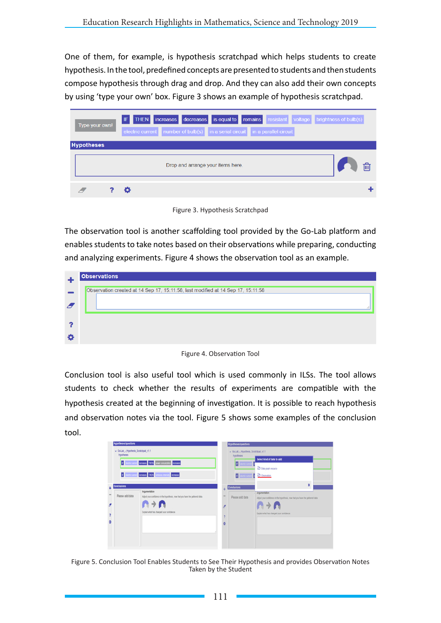One of them, for example, is hypothesis scratchpad which helps students to create hypothesis. In the tool, predefined concepts are presented to students and then students compose hypothesis through drag and drop. And they can also add their own concepts by using 'type your own' box. Figure 3 shows an example of hypothesis scratchpad.

| Type your own!    | IF THEN increases decreases is equal to remains resistant voltage brightness of bulb(s)<br>electric current number of bulb(s) in a serial circuit in a parallel circuit |  |
|-------------------|-------------------------------------------------------------------------------------------------------------------------------------------------------------------------|--|
| <b>Hypotheses</b> |                                                                                                                                                                         |  |
|                   | Drop and arrange your items here.                                                                                                                                       |  |
|                   |                                                                                                                                                                         |  |

Figure 3. Hypothesis Scratchpad

The observation tool is another scaffolding tool provided by the Go-Lab platform and enables students to take notes based on their observations while preparing, conducting and analyzing experiments. Figure 4 shows the observation tool as an example.

|   | <b>Observations</b>                                                              |
|---|----------------------------------------------------------------------------------|
|   |                                                                                  |
|   | Observation created at 14 Sep 17, 15:11:58, last modified at 14 Sep 17, 15:11:58 |
|   |                                                                                  |
|   |                                                                                  |
|   |                                                                                  |
|   |                                                                                  |
|   |                                                                                  |
|   |                                                                                  |
| Đ |                                                                                  |
|   |                                                                                  |
|   |                                                                                  |

Figure 4. Observation Tool

Conclusion tool is also useful tool which is used commonly in ILSs. The tool allows students to check whether the results of experiments are compatible with the hypothesis created at the beginning of investigation. It is possible to reach hypothesis and observation notes via the tool. Figure 5 shows some examples of the conclusion tool.

| v Go-Lab - Hypothesis_Scratchpad_v1.1<br>hypotheses | F decrecamet renoses THEN power consumption increases                                                                                                                                         |        | v Go-Lab - Hypothesis Scratchpad v1.1<br>hypotheses<br>ø | Select kind of data to add<br>C Data graph resource                                                                                                          |
|-----------------------------------------------------|-----------------------------------------------------------------------------------------------------------------------------------------------------------------------------------------------|--------|----------------------------------------------------------|--------------------------------------------------------------------------------------------------------------------------------------------------------------|
| <b>Conclusions</b><br>Please add data               | F electronist noves THEN Limited thinky noves<br>Argumentation<br>Adjust your confidence in the hypothesis, now that you have the gathered data.<br>Explain what has changed your confidence. | ٠<br>ó | F decho cur<br><b>Conclusions</b><br>Please add data     | Contention<br>×<br>Aroumentation<br>Adjust your confidence in the hypothesis, now that you have the gathered data<br>Explain what has changed your comformer |

Figure 5. Conclusion Tool Enables Students to See Their Hypothesis and provides Observation Notes Taken by the Student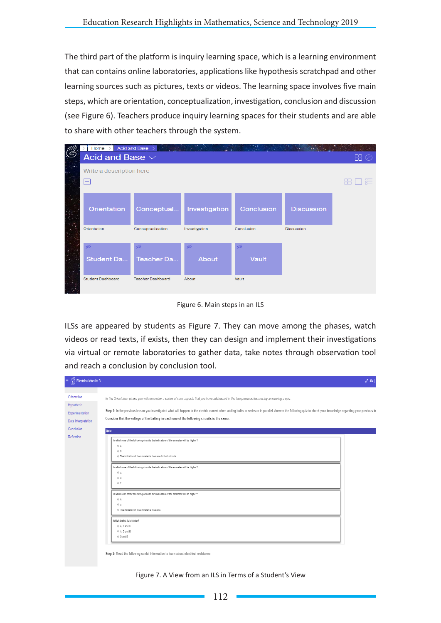The third part of the platform is inquiry learning space, which is a learning environment that can contains online laboratories, applications like hypothesis scratchpad and other learning sources such as pictures, texts or videos. The learning space involves five main steps, which are orientation, conceptualization, investigation, conclusion and discussion (see Figure 6). Teachers produce inquiry learning spaces for their students and are able to share with other teachers through the system.

|    | Home $>$                     | Acid and Base >          |               |            |                   |  |
|----|------------------------------|--------------------------|---------------|------------|-------------------|--|
| (E | Acid and Base $\vee$<br>88 ② |                          |               |            |                   |  |
|    | Write a description here     |                          |               |            |                   |  |
|    | 肝<br>$ + $                   |                          |               |            |                   |  |
|    | Orientation                  | Conceptual               | Investigation | Conclusion | <b>Discussion</b> |  |
|    | Orientation                  | Conceptualisation        | Investigation | Conclusion | <b>Discussion</b> |  |
|    | Φb                           | œб                       | σb            | ø          |                   |  |
|    | <b>Student Da</b>            | Teacher Da               | About         | Vault      |                   |  |
|    | <b>Student Dashboard</b>     | <b>Teacher Dashboard</b> | About         | Vault      |                   |  |

Figure 6. Main steps in an ILS

ILSs are appeared by students as Figure 7. They can move among the phases, watch videos or read texts, if exists, then they can design and implement their investigations via virtual or remote laboratories to gather data, take notes through observation tool and reach a conclusion by conclusion tool.

| <b>Electrical circuits 3</b><br>Ξ                                                 |                                                                                                                                                                                                                                                                                                                                                                                                                                                                          | 201 |
|-----------------------------------------------------------------------------------|--------------------------------------------------------------------------------------------------------------------------------------------------------------------------------------------------------------------------------------------------------------------------------------------------------------------------------------------------------------------------------------------------------------------------------------------------------------------------|-----|
| Orientation<br>Hypothesis<br>Experimentation<br>Data Interpretation<br>Conclusion | In the Orientation phase you will remember a series of core aspects that you have addressed in the two previous lessons by answering a quiz.<br>Step 1: In the previous lesson you investigated what will happen to the electric current when adding bulbs in series or in parallel. Answer the following quiz to check your knowledge regarding your previous in<br>Consider that the voltage of the battery in each one of the following circuits is the same.<br>Quiz |     |
| Reflection                                                                        | In which one of the following circuits the indication of the ammeter will be higher?<br>0A<br>0B<br>0 The indication of the ammeter is the same for both circuits.<br>In which one of the following circuits the indication of the ammeter will be higher?<br>0 A<br>0B                                                                                                                                                                                                  |     |
|                                                                                   | 0 <sub>0</sub><br>In which one of the following circuits the indication of the ammeter will be higher?<br>0A<br>0B<br>0 The indication of the ammeter is the same.<br>Which bulb/s is brighter?                                                                                                                                                                                                                                                                          |     |
|                                                                                   | 0 A. B and C<br>0 A, D and E<br>0 D and E<br>Step 2: Read the following useful information to learn about electrical resistance.                                                                                                                                                                                                                                                                                                                                         |     |

Figure 7. A View from an ILS in Terms of a Student's View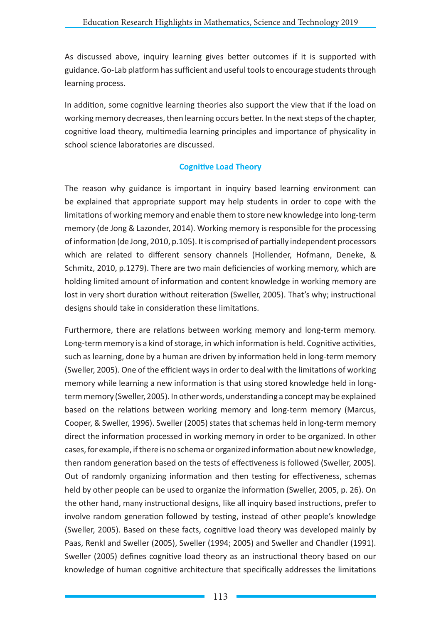As discussed above, inquiry learning gives better outcomes if it is supported with guidance. Go-Lab platform has sufficient and useful tools to encourage students through learning process.

In addition, some cognitive learning theories also support the view that if the load on working memory decreases, then learning occurs better. In the next steps of the chapter, cognitive load theory, multimedia learning principles and importance of physicality in school science laboratories are discussed.

# **Cognitive Load Theory**

The reason why guidance is important in inquiry based learning environment can be explained that appropriate support may help students in order to cope with the limitations of working memory and enable them to store new knowledge into long-term memory (de Jong & Lazonder, 2014). Working memory is responsible for the processing of information (de Jong, 2010, p.105). It is comprised of partially independent processors which are related to different sensory channels (Hollender, Hofmann, Deneke, & Schmitz, 2010, p.1279). There are two main deficiencies of working memory, which are holding limited amount of information and content knowledge in working memory are lost in very short duration without reiteration (Sweller, 2005). That's why; instructional designs should take in consideration these limitations.

Furthermore, there are relations between working memory and long-term memory. Long-term memory is a kind of storage, in which information is held. Cognitive activities, such as learning, done by a human are driven by information held in long-term memory (Sweller, 2005). One of the efficient ways in order to deal with the limitations of working memory while learning a new information is that using stored knowledge held in longterm memory (Sweller, 2005). In other words, understanding a concept may be explained based on the relations between working memory and long-term memory (Marcus, Cooper, & Sweller, 1996). Sweller (2005) states that schemas held in long-term memory direct the information processed in working memory in order to be organized. In other cases, for example, if there is no schema or organized information about new knowledge, then random generation based on the tests of effectiveness is followed (Sweller, 2005). Out of randomly organizing information and then testing for effectiveness, schemas held by other people can be used to organize the information (Sweller, 2005, p. 26). On the other hand, many instructional designs, like all inquiry based instructions, prefer to involve random generation followed by testing, instead of other people's knowledge (Sweller, 2005). Based on these facts, cognitive load theory was developed mainly by Paas, Renkl and Sweller (2005), Sweller (1994; 2005) and Sweller and Chandler (1991). Sweller (2005) defines cognitive load theory as an instructional theory based on our knowledge of human cognitive architecture that specifically addresses the limitations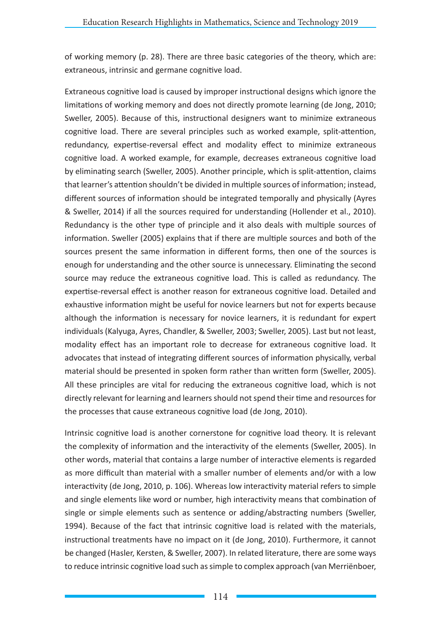of working memory (p. 28). There are three basic categories of the theory, which are: extraneous, intrinsic and germane cognitive load.

Extraneous cognitive load is caused by improper instructional designs which ignore the limitations of working memory and does not directly promote learning (de Jong, 2010; Sweller, 2005). Because of this, instructional designers want to minimize extraneous cognitive load. There are several principles such as worked example, split-attention, redundancy, expertise-reversal effect and modality effect to minimize extraneous cognitive load. A worked example, for example, decreases extraneous cognitive load by eliminating search (Sweller, 2005). Another principle, which is split-attention, claims that learner's attention shouldn't be divided in multiple sources of information; instead, different sources of information should be integrated temporally and physically (Ayres & Sweller, 2014) if all the sources required for understanding (Hollender et al., 2010). Redundancy is the other type of principle and it also deals with multiple sources of information. Sweller (2005) explains that if there are multiple sources and both of the sources present the same information in different forms, then one of the sources is enough for understanding and the other source is unnecessary. Eliminating the second source may reduce the extraneous cognitive load. This is called as redundancy. The expertise-reversal effect is another reason for extraneous cognitive load. Detailed and exhaustive information might be useful for novice learners but not for experts because although the information is necessary for novice learners, it is redundant for expert individuals (Kalyuga, Ayres, Chandler, & Sweller, 2003; Sweller, 2005). Last but not least, modality effect has an important role to decrease for extraneous cognitive load. It advocates that instead of integrating different sources of information physically, verbal material should be presented in spoken form rather than written form (Sweller, 2005). All these principles are vital for reducing the extraneous cognitive load, which is not directly relevant for learning and learners should not spend their time and resources for the processes that cause extraneous cognitive load (de Jong, 2010).

Intrinsic cognitive load is another cornerstone for cognitive load theory. It is relevant the complexity of information and the interactivity of the elements (Sweller, 2005). In other words, material that contains a large number of interactive elements is regarded as more difficult than material with a smaller number of elements and/or with a low interactivity (de Jong, 2010, p. 106). Whereas low interactivity material refers to simple and single elements like word or number, high interactivity means that combination of single or simple elements such as sentence or adding/abstracting numbers (Sweller, 1994). Because of the fact that intrinsic cognitive load is related with the materials, instructional treatments have no impact on it (de Jong, 2010). Furthermore, it cannot be changed (Hasler, Kersten, & Sweller, 2007). In related literature, there are some ways to reduce intrinsic cognitive load such as simple to complex approach (van Merriënboer,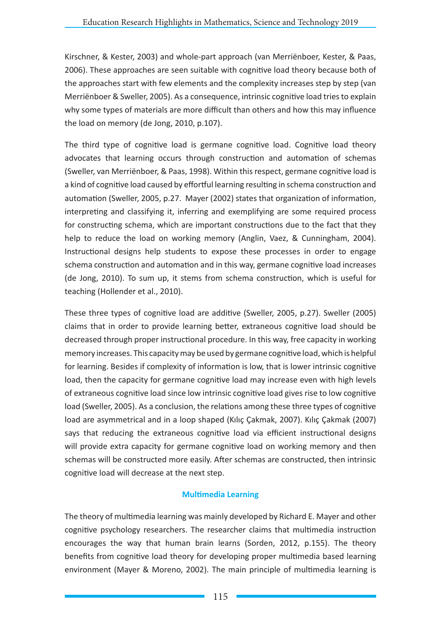Kirschner, & Kester, 2003) and whole-part approach (van Merriënboer, Kester, & Paas, 2006). These approaches are seen suitable with cognitive load theory because both of the approaches start with few elements and the complexity increases step by step (van Merriënboer & Sweller, 2005). As a consequence, intrinsic cognitive load tries to explain why some types of materials are more difficult than others and how this may influence the load on memory (de Jong, 2010, p.107).

The third type of cognitive load is germane cognitive load. Cognitive load theory advocates that learning occurs through construction and automation of schemas (Sweller, van Merriënboer, & Paas, 1998). Within this respect, germane cognitive load is a kind of cognitive load caused by effortful learning resulting in schema construction and automation (Sweller, 2005, p.27. Mayer (2002) states that organization of information, interpreting and classifying it, inferring and exemplifying are some required process for constructing schema, which are important constructions due to the fact that they help to reduce the load on working memory (Anglin, Vaez, & Cunningham, 2004). Instructional designs help students to expose these processes in order to engage schema construction and automation and in this way, germane cognitive load increases (de Jong, 2010). To sum up, it stems from schema construction, which is useful for teaching (Hollender et al., 2010).

These three types of cognitive load are additive (Sweller, 2005, p.27). Sweller (2005) claims that in order to provide learning better, extraneous cognitive load should be decreased through proper instructional procedure. In this way, free capacity in working memory increases. This capacity may be used by germane cognitive load, which is helpful for learning. Besides if complexity of information is low, that is lower intrinsic cognitive load, then the capacity for germane cognitive load may increase even with high levels of extraneous cognitive load since low intrinsic cognitive load gives rise to low cognitive load (Sweller, 2005). As a conclusion, the relations among these three types of cognitive load are asymmetrical and in a loop shaped (Kılıç Çakmak, 2007). Kılıç Çakmak (2007) says that reducing the extraneous cognitive load via efficient instructional designs will provide extra capacity for germane cognitive load on working memory and then schemas will be constructed more easily. After schemas are constructed, then intrinsic cognitive load will decrease at the next step.

# **Multimedia Learning**

The theory of multimedia learning was mainly developed by Richard E. Mayer and other cognitive psychology researchers. The researcher claims that multimedia instruction encourages the way that human brain learns (Sorden, 2012, p.155). The theory benefits from cognitive load theory for developing proper multimedia based learning environment (Mayer & Moreno, 2002). The main principle of multimedia learning is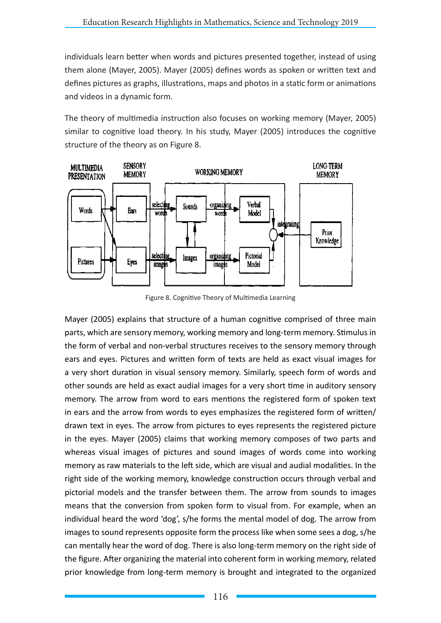individuals learn better when words and pictures presented together, instead of using them alone (Mayer, 2005). Mayer (2005) defines words as spoken or written text and defines pictures as graphs, illustrations, maps and photos in a static form or animations and videos in a dynamic form.

The theory of multimedia instruction also focuses on working memory (Mayer, 2005) similar to cognitive load theory. In his study, Mayer (2005) introduces the cognitive structure of the theory as on Figure 8.



Figure 8. Cognitive Theory of Multimedia Learning

Mayer (2005) explains that structure of a human cognitive comprised of three main parts, which are sensory memory, working memory and long-term memory. Stimulus in the form of verbal and non-verbal structures receives to the sensory memory through ears and eyes. Pictures and written form of texts are held as exact visual images for a very short duration in visual sensory memory. Similarly, speech form of words and other sounds are held as exact audial images for a very short time in auditory sensory memory. The arrow from word to ears mentions the registered form of spoken text in ears and the arrow from words to eyes emphasizes the registered form of written/ drawn text in eyes. The arrow from pictures to eyes represents the registered picture in the eyes. Mayer (2005) claims that working memory composes of two parts and whereas visual images of pictures and sound images of words come into working memory as raw materials to the left side, which are visual and audial modalities. In the right side of the working memory, knowledge construction occurs through verbal and pictorial models and the transfer between them. The arrow from sounds to images means that the conversion from spoken form to visual from. For example, when an individual heard the word 'dog', s/he forms the mental model of dog. The arrow from images to sound represents opposite form the process like when some sees a dog, s/he can mentally hear the word of dog. There is also long-term memory on the right side of the figure. After organizing the material into coherent form in working memory, related prior knowledge from long-term memory is brought and integrated to the organized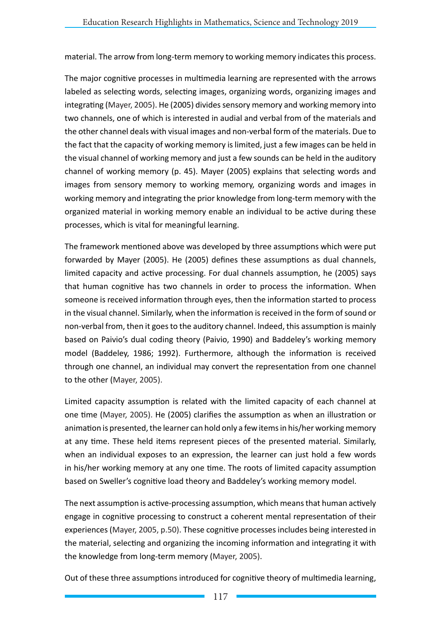material. The arrow from long-term memory to working memory indicates this process.

The major cognitive processes in multimedia learning are represented with the arrows labeled as selecting words, selecting images, organizing words, organizing images and integrating (Mayer, 2005). He (2005) divides sensory memory and working memory into two channels, one of which is interested in audial and verbal from of the materials and the other channel deals with visual images and non-verbal form of the materials. Due to the fact that the capacity of working memory is limited, just a few images can be held in the visual channel of working memory and just a few sounds can be held in the auditory channel of working memory (p. 45). Mayer (2005) explains that selecting words and images from sensory memory to working memory, organizing words and images in working memory and integrating the prior knowledge from long-term memory with the organized material in working memory enable an individual to be active during these processes, which is vital for meaningful learning.

The framework mentioned above was developed by three assumptions which were put forwarded by Mayer (2005). He (2005) defines these assumptions as dual channels, limited capacity and active processing. For dual channels assumption, he (2005) says that human cognitive has two channels in order to process the information. When someone is received information through eyes, then the information started to process in the visual channel. Similarly, when the information is received in the form of sound or non-verbal from, then it goes to the auditory channel. Indeed, this assumption is mainly based on Paivio's dual coding theory (Paivio, 1990) and Baddeley's working memory model (Baddeley, 1986; 1992). Furthermore, although the information is received through one channel, an individual may convert the representation from one channel to the other (Mayer, 2005).

Limited capacity assumption is related with the limited capacity of each channel at one time (Mayer, 2005). He (2005) clarifies the assumption as when an illustration or animation is presented, the learner can hold only a few items in his/her working memory at any time. These held items represent pieces of the presented material. Similarly, when an individual exposes to an expression, the learner can just hold a few words in his/her working memory at any one time. The roots of limited capacity assumption based on Sweller's cognitive load theory and Baddeley's working memory model.

The next assumption is active-processing assumption, which means that human actively engage in cognitive processing to construct a coherent mental representation of their experiences (Mayer, 2005, p.50). These cognitive processes includes being interested in the material, selecting and organizing the incoming information and integrating it with the knowledge from long-term memory (Mayer, 2005).

Out of these three assumptions introduced for cognitive theory of multimedia learning,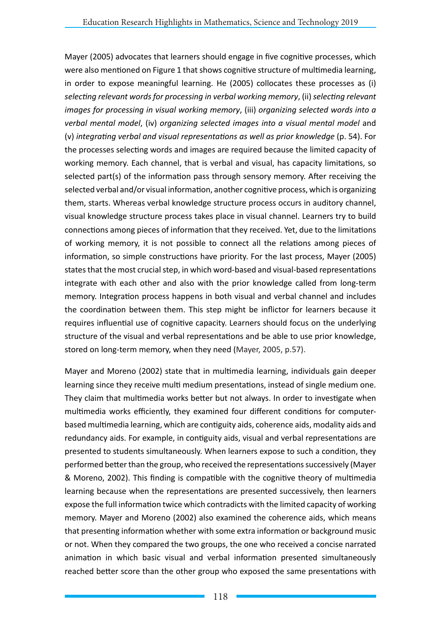Mayer (2005) advocates that learners should engage in five cognitive processes, which were also mentioned on Figure 1 that shows cognitive structure of multimedia learning, in order to expose meaningful learning. He (2005) collocates these processes as (i) *selecting relevant words for processing in verbal working memory*, (ii) *selecting relevant images for processing in visual working memory*, (iii) *organizing selected words into a verbal mental model*, (iv) *organizing selected images into a visual mental model* and (v) *integrating verbal and visual representations as well as prior knowledge* (p. 54). For the processes selecting words and images are required because the limited capacity of working memory. Each channel, that is verbal and visual, has capacity limitations, so selected part(s) of the information pass through sensory memory. After receiving the selected verbal and/or visual information, another cognitive process, which is organizing them, starts. Whereas verbal knowledge structure process occurs in auditory channel, visual knowledge structure process takes place in visual channel. Learners try to build connections among pieces of information that they received. Yet, due to the limitations of working memory, it is not possible to connect all the relations among pieces of information, so simple constructions have priority. For the last process, Mayer (2005) states that the most crucial step, in which word-based and visual-based representations integrate with each other and also with the prior knowledge called from long-term memory. Integration process happens in both visual and verbal channel and includes the coordination between them. This step might be inflictor for learners because it requires influential use of cognitive capacity. Learners should focus on the underlying structure of the visual and verbal representations and be able to use prior knowledge, stored on long-term memory, when they need (Mayer, 2005, p.57).

Mayer and Moreno (2002) state that in multimedia learning, individuals gain deeper learning since they receive multi medium presentations, instead of single medium one. They claim that multimedia works better but not always. In order to investigate when multimedia works efficiently, they examined four different conditions for computerbased multimedia learning, which are contiguity aids, coherence aids, modality aids and redundancy aids. For example, in contiguity aids, visual and verbal representations are presented to students simultaneously. When learners expose to such a condition, they performed better than the group, who received the representations successively (Mayer & Moreno, 2002). This finding is compatible with the cognitive theory of multimedia learning because when the representations are presented successively, then learners expose the full information twice which contradicts with the limited capacity of working memory. Mayer and Moreno (2002) also examined the coherence aids, which means that presenting information whether with some extra information or background music or not. When they compared the two groups, the one who received a concise narrated animation in which basic visual and verbal information presented simultaneously reached better score than the other group who exposed the same presentations with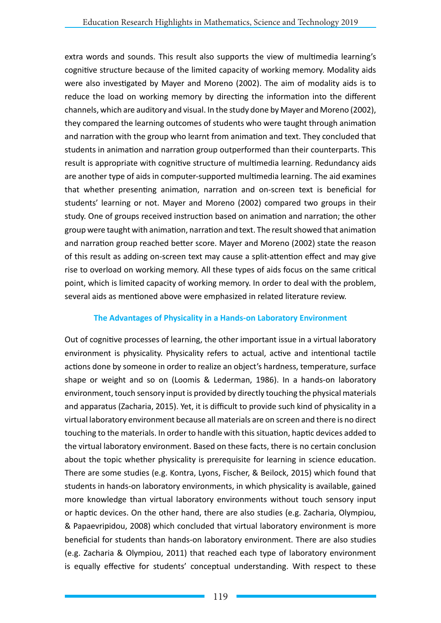extra words and sounds. This result also supports the view of multimedia learning's cognitive structure because of the limited capacity of working memory. Modality aids were also investigated by Mayer and Moreno (2002). The aim of modality aids is to reduce the load on working memory by directing the information into the different channels, which are auditory and visual. In the study done by Mayer and Moreno (2002), they compared the learning outcomes of students who were taught through animation and narration with the group who learnt from animation and text. They concluded that students in animation and narration group outperformed than their counterparts. This result is appropriate with cognitive structure of multimedia learning. Redundancy aids are another type of aids in computer-supported multimedia learning. The aid examines that whether presenting animation, narration and on-screen text is beneficial for students' learning or not. Mayer and Moreno (2002) compared two groups in their study. One of groups received instruction based on animation and narration; the other group were taught with animation, narration and text. The result showed that animation and narration group reached better score. Mayer and Moreno (2002) state the reason of this result as adding on-screen text may cause a split-attention effect and may give rise to overload on working memory. All these types of aids focus on the same critical point, which is limited capacity of working memory. In order to deal with the problem, several aids as mentioned above were emphasized in related literature review.

### **The Advantages of Physicality in a Hands-on Laboratory Environment**

Out of cognitive processes of learning, the other important issue in a virtual laboratory environment is physicality. Physicality refers to actual, active and intentional tactile actions done by someone in order to realize an object's hardness, temperature, surface shape or weight and so on (Loomis & Lederman, 1986). In a hands-on laboratory environment, touch sensory input is provided by directly touching the physical materials and apparatus (Zacharia, 2015). Yet, it is difficult to provide such kind of physicality in a virtual laboratory environment because all materials are on screen and there is no direct touching to the materials. In order to handle with this situation, haptic devices added to the virtual laboratory environment. Based on these facts, there is no certain conclusion about the topic whether physicality is prerequisite for learning in science education. There are some studies (e.g. Kontra, Lyons, Fischer, & Beilock, 2015) which found that students in hands-on laboratory environments, in which physicality is available, gained more knowledge than virtual laboratory environments without touch sensory input or haptic devices. On the other hand, there are also studies (e.g. Zacharia, Olympiou, & Papaevripidou, 2008) which concluded that virtual laboratory environment is more beneficial for students than hands-on laboratory environment. There are also studies (e.g. Zacharia & Olympiou, 2011) that reached each type of laboratory environment is equally effective for students' conceptual understanding. With respect to these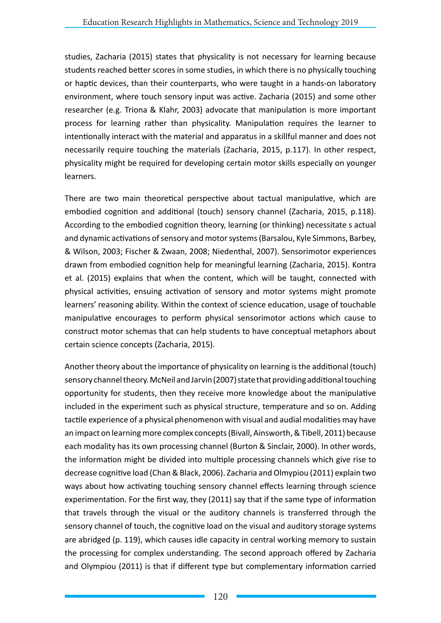studies, Zacharia (2015) states that physicality is not necessary for learning because students reached better scores in some studies, in which there is no physically touching or haptic devices, than their counterparts, who were taught in a hands-on laboratory environment, where touch sensory input was active. Zacharia (2015) and some other researcher (e.g. Triona & Klahr, 2003) advocate that manipulation is more important process for learning rather than physicality. Manipulation requires the learner to intentionally interact with the material and apparatus in a skillful manner and does not necessarily require touching the materials (Zacharia, 2015, p.117). In other respect, physicality might be required for developing certain motor skills especially on younger learners.

There are two main theoretical perspective about tactual manipulative, which are embodied cognition and additional (touch) sensory channel (Zacharia, 2015, p.118). According to the embodied cognition theory, learning (or thinking) necessitate s actual and dynamic activations of sensory and motor systems (Barsalou, Kyle Simmons, Barbey, & Wilson, 2003; Fischer & Zwaan, 2008; Niedenthal, 2007). Sensorimotor experiences drawn from embodied cognition help for meaningful learning (Zacharia, 2015). Kontra et al. (2015) explains that when the content, which will be taught, connected with physical activities, ensuing activation of sensory and motor systems might promote learners' reasoning ability. Within the context of science education, usage of touchable manipulative encourages to perform physical sensorimotor actions which cause to construct motor schemas that can help students to have conceptual metaphors about certain science concepts (Zacharia, 2015).

Another theory about the importance of physicality on learning is the additional (touch) sensory channel theory. McNeil and Jarvin (2007) state that providing additional touching opportunity for students, then they receive more knowledge about the manipulative included in the experiment such as physical structure, temperature and so on. Adding tactile experience of a physical phenomenon with visual and audial modalities may have an impact on learning more complex concepts (Bivall, Ainsworth, & Tibell, 2011) because each modality has its own processing channel (Burton & Sinclair, 2000). In other words, the information might be divided into multiple processing channels which give rise to decrease cognitive load (Chan & Black, 2006). Zacharia and Olmypiou (2011) explain two ways about how activating touching sensory channel effects learning through science experimentation. For the first way, they (2011) say that if the same type of information that travels through the visual or the auditory channels is transferred through the sensory channel of touch, the cognitive load on the visual and auditory storage systems are abridged (p. 119), which causes idle capacity in central working memory to sustain the processing for complex understanding. The second approach offered by Zacharia and Olympiou (2011) is that if different type but complementary information carried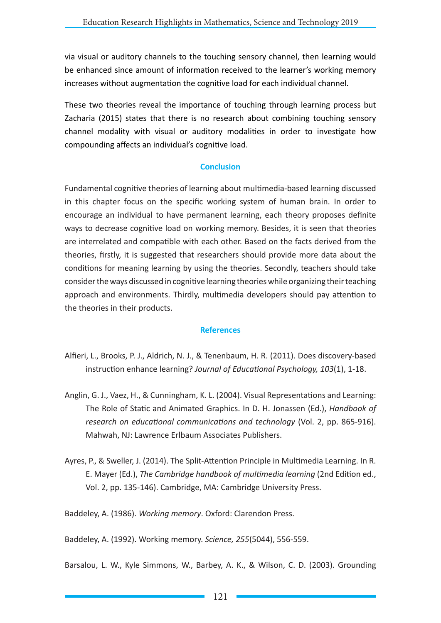via visual or auditory channels to the touching sensory channel, then learning would be enhanced since amount of information received to the learner's working memory increases without augmentation the cognitive load for each individual channel.

These two theories reveal the importance of touching through learning process but Zacharia (2015) states that there is no research about combining touching sensory channel modality with visual or auditory modalities in order to investigate how compounding affects an individual's cognitive load.

### **Conclusion**

Fundamental cognitive theories of learning about multimedia-based learning discussed in this chapter focus on the specific working system of human brain. In order to encourage an individual to have permanent learning, each theory proposes definite ways to decrease cognitive load on working memory. Besides, it is seen that theories are interrelated and compatible with each other. Based on the facts derived from the theories, firstly, it is suggested that researchers should provide more data about the conditions for meaning learning by using the theories. Secondly, teachers should take consider the ways discussed in cognitive learning theories while organizing their teaching approach and environments. Thirdly, multimedia developers should pay attention to the theories in their products.

#### **References**

- Alfieri, L., Brooks, P. J., Aldrich, N. J., & Tenenbaum, H. R. (2011). Does discovery-based instruction enhance learning? *Journal of Educational Psychology, 103*(1), 1-18.
- Anglin, G. J., Vaez, H., & Cunningham, K. L. (2004). Visual Representations and Learning: The Role of Static and Animated Graphics. In D. H. Jonassen (Ed.), *Handbook of research on educational communications and technology* (Vol. 2, pp. 865-916). Mahwah, NJ: Lawrence Erlbaum Associates Publishers.
- Ayres, P., & Sweller, J. (2014). The Split-Attention Principle in Multimedia Learning. In R. E. Mayer (Ed.), *The Cambridge handbook of multimedia learning* (2nd Edition ed., Vol. 2, pp. 135-146). Cambridge, MA: Cambridge University Press.

Baddeley, A. (1986). *Working memory*. Oxford: Clarendon Press.

Baddeley, A. (1992). Working memory. *Science, 255*(5044), 556-559.

Barsalou, L. W., Kyle Simmons, W., Barbey, A. K., & Wilson, C. D. (2003). Grounding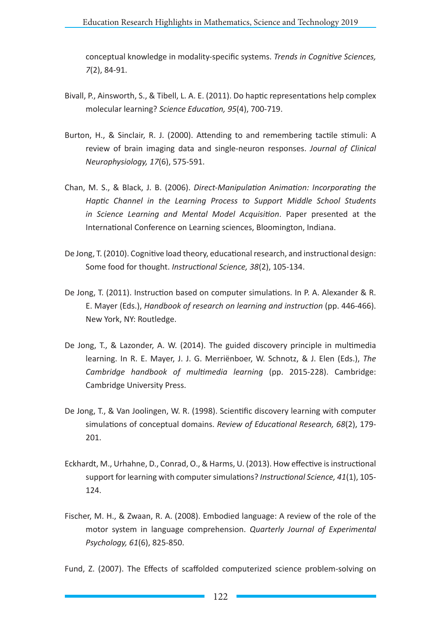conceptual knowledge in modality-specific systems. *Trends in Cognitive Sciences, 7*(2), 84-91.

- Bivall, P., Ainsworth, S., & Tibell, L. A. E. (2011). Do haptic representations help complex molecular learning? *Science Education, 95*(4), 700-719.
- Burton, H., & Sinclair, R. J. (2000). Attending to and remembering tactile stimuli: A review of brain imaging data and single-neuron responses. *Journal of Clinical Neurophysiology, 17*(6), 575-591.
- Chan, M. S., & Black, J. B. (2006). *Direct-Manipulation Animation: Incorporating the Haptic Channel in the Learning Process to Support Middle School Students in Science Learning and Mental Model Acquisition*. Paper presented at the International Conference on Learning sciences, Bloomington, Indiana.
- De Jong, T. (2010). Cognitive load theory, educational research, and instructional design: Some food for thought. *Instructional Science, 38*(2), 105-134.
- De Jong, T. (2011). Instruction based on computer simulations. In P. A. Alexander & R. E. Mayer (Eds.), *Handbook of research on learning and instruction* (pp. 446-466). New York, NY: Routledge.
- De Jong, T., & Lazonder, A. W. (2014). The guided discovery principle in multimedia learning. In R. E. Mayer, J. J. G. Merriënboer, W. Schnotz, & J. Elen (Eds.), *The Cambridge handbook of multimedia learning* (pp. 2015-228). Cambridge: Cambridge University Press.
- De Jong, T., & Van Joolingen, W. R. (1998). Scientific discovery learning with computer simulations of conceptual domains. *Review of Educational Research, 68*(2), 179- 201.
- Eckhardt, M., Urhahne, D., Conrad, O., & Harms, U. (2013). How effective is instructional support for learning with computer simulations? *Instructional Science, 41*(1), 105- 124.
- Fischer, M. H., & Zwaan, R. A. (2008). Embodied language: A review of the role of the motor system in language comprehension. *Quarterly Journal of Experimental Psychology, 61*(6), 825-850.

Fund, Z. (2007). The Effects of scaffolded computerized science problem-solving on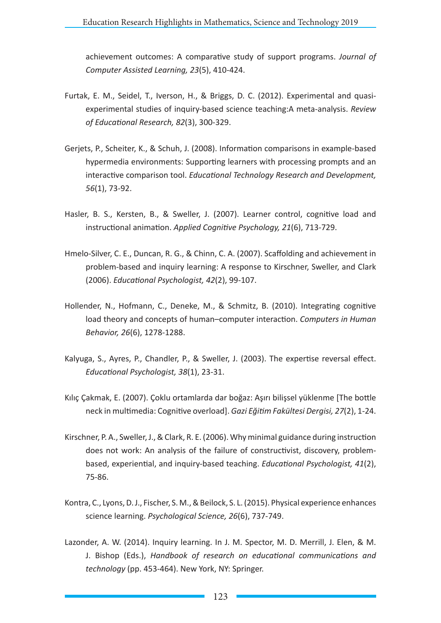achievement outcomes: A comparative study of support programs. *Journal of Computer Assisted Learning, 23*(5), 410-424.

- Furtak, E. M., Seidel, T., Iverson, H., & Briggs, D. C. (2012). Experimental and quasiexperimental studies of inquiry-based science teaching:A meta-analysis. *Review of Educational Research, 82*(3), 300-329.
- Gerjets, P., Scheiter, K., & Schuh, J. (2008). Information comparisons in example-based hypermedia environments: Supporting learners with processing prompts and an interactive comparison tool. *Educational Technology Research and Development, 56*(1), 73-92.
- Hasler, B. S., Kersten, B., & Sweller, J. (2007). Learner control, cognitive load and instructional animation. *Applied Cognitive Psychology, 21*(6), 713-729.
- Hmelo-Silver, C. E., Duncan, R. G., & Chinn, C. A. (2007). Scaffolding and achievement in problem-based and inquiry learning: A response to Kirschner, Sweller, and Clark (2006). *Educational Psychologist, 42*(2), 99-107.
- Hollender, N., Hofmann, C., Deneke, M., & Schmitz, B. (2010). Integrating cognitive load theory and concepts of human–computer interaction. *Computers in Human Behavior, 26*(6), 1278-1288.
- Kalyuga, S., Ayres, P., Chandler, P., & Sweller, J. (2003). The expertise reversal effect. *Educational Psychologist, 38*(1), 23-31.
- Kılıç Çakmak, E. (2007). Çoklu ortamlarda dar boğaz: Aşırı bilişsel yüklenme [The bottle neck in multimedia: Cognitive overload]. *Gazi Eğitim Fakültesi Dergisi, 27*(2), 1-24.
- Kirschner, P. A., Sweller, J., & Clark, R. E. (2006). Why minimal guidance during instruction does not work: An analysis of the failure of constructivist, discovery, problembased, experiential, and inquiry-based teaching. *Educational Psychologist, 41*(2), 75-86.
- Kontra, C., Lyons, D. J., Fischer, S. M., & Beilock, S. L. (2015). Physical experience enhances science learning. *Psychological Science, 26*(6), 737-749.
- Lazonder, A. W. (2014). Inquiry learning. In J. M. Spector, M. D. Merrill, J. Elen, & M. J. Bishop (Eds.), *Handbook of research on educational communications and technology* (pp. 453-464). New York, NY: Springer.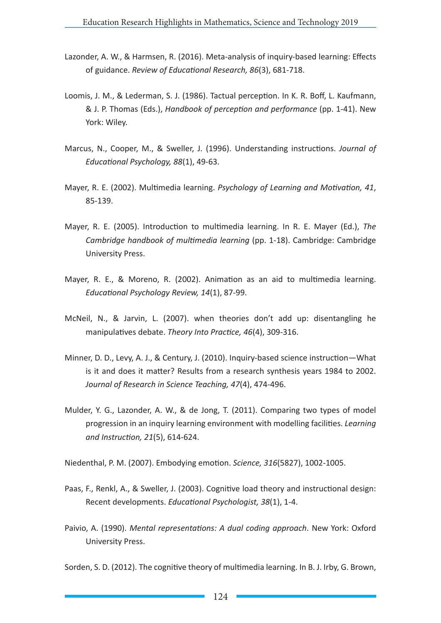- Lazonder, A. W., & Harmsen, R. (2016). Meta-analysis of inquiry-based learning: Effects of guidance. *Review of Educational Research, 86*(3), 681-718.
- Loomis, J. M., & Lederman, S. J. (1986). Tactual perception. In K. R. Boff, L. Kaufmann, & J. P. Thomas (Eds.), *Handbook of perception and performance* (pp. 1-41). New York: Wiley.
- Marcus, N., Cooper, M., & Sweller, J. (1996). Understanding instructions. *Journal of Educational Psychology, 88*(1), 49-63.
- Mayer, R. E. (2002). Multimedia learning. *Psychology of Learning and Motivation, 41*, 85-139.
- Mayer, R. E. (2005). Introduction to multimedia learning. In R. E. Mayer (Ed.), *The Cambridge handbook of multimedia learning* (pp. 1-18). Cambridge: Cambridge University Press.
- Mayer, R. E., & Moreno, R. (2002). Animation as an aid to multimedia learning. *Educational Psychology Review, 14*(1), 87-99.
- McNeil, N., & Jarvin, L. (2007). when theories don't add up: disentangling he manipulatives debate. *Theory Into Practice, 46*(4), 309-316.
- Minner, D. D., Levy, A. J., & Century, J. (2010). Inquiry-based science instruction—What is it and does it matter? Results from a research synthesis years 1984 to 2002. *Journal of Research in Science Teaching, 47*(4), 474-496.
- Mulder, Y. G., Lazonder, A. W., & de Jong, T. (2011). Comparing two types of model progression in an inquiry learning environment with modelling facilities. *Learning and Instruction, 21*(5), 614-624.

Niedenthal, P. M. (2007). Embodying emotion. *Science, 316*(5827), 1002-1005.

- Paas, F., Renkl, A., & Sweller, J. (2003). Cognitive load theory and instructional design: Recent developments. *Educational Psychologist, 38*(1), 1-4.
- Paivio, A. (1990). *Mental representations: A dual coding approach*. New York: Oxford University Press.

Sorden, S. D. (2012). The cognitive theory of multimedia learning. In B. J. Irby, G. Brown,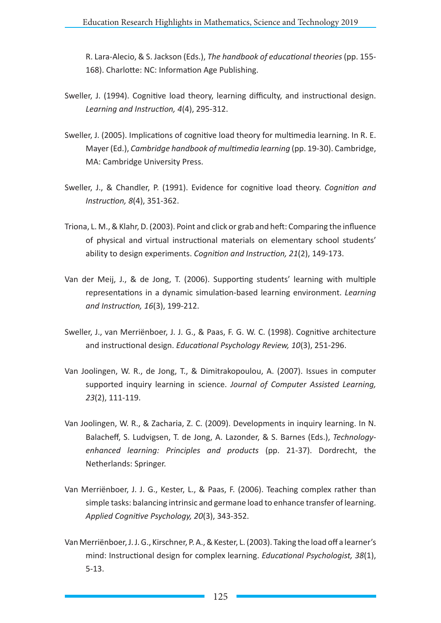R. Lara-Alecio, & S. Jackson (Eds.), *The handbook of educational theories* (pp. 155- 168). Charlotte: NC: Information Age Publishing.

- Sweller, J. (1994). Cognitive load theory, learning difficulty, and instructional design. *Learning and Instruction, 4*(4), 295-312.
- Sweller, J. (2005). Implications of cognitive load theory for multimedia learning. In R. E. Mayer (Ed.), *Cambridge handbook of multimedia learning* (pp. 19-30). Cambridge, MA: Cambridge University Press.
- Sweller, J., & Chandler, P. (1991). Evidence for cognitive load theory. *Cognition and Instruction, 8*(4), 351-362.
- Triona, L. M., & Klahr, D. (2003). Point and click or grab and heft: Comparing the influence of physical and virtual instructional materials on elementary school students' ability to design experiments. *Cognition and Instruction, 21*(2), 149-173.
- Van der Meij, J., & de Jong, T. (2006). Supporting students' learning with multiple representations in a dynamic simulation-based learning environment. *Learning and Instruction, 16*(3), 199-212.
- Sweller, J., van Merriënboer, J. J. G., & Paas, F. G. W. C. (1998). Cognitive architecture and instructional design. *Educational Psychology Review, 10*(3), 251-296.
- Van Joolingen, W. R., de Jong, T., & Dimitrakopoulou, A. (2007). Issues in computer supported inquiry learning in science. *Journal of Computer Assisted Learning, 23*(2), 111-119.
- Van Joolingen, W. R., & Zacharia, Z. C. (2009). Developments in inquiry learning. In N. Balacheff, S. Ludvigsen, T. de Jong, A. Lazonder, & S. Barnes (Eds.), *Technologyenhanced learning: Principles and products* (pp. 21-37). Dordrecht, the Netherlands: Springer.
- Van Merriënboer, J. J. G., Kester, L., & Paas, F. (2006). Teaching complex rather than simple tasks: balancing intrinsic and germane load to enhance transfer of learning. *Applied Cognitive Psychology, 20*(3), 343-352.
- Van Merriënboer, J. J. G., Kirschner, P. A., & Kester, L. (2003). Taking the load off a learner's mind: Instructional design for complex learning. *Educational Psychologist, 38*(1), 5-13.